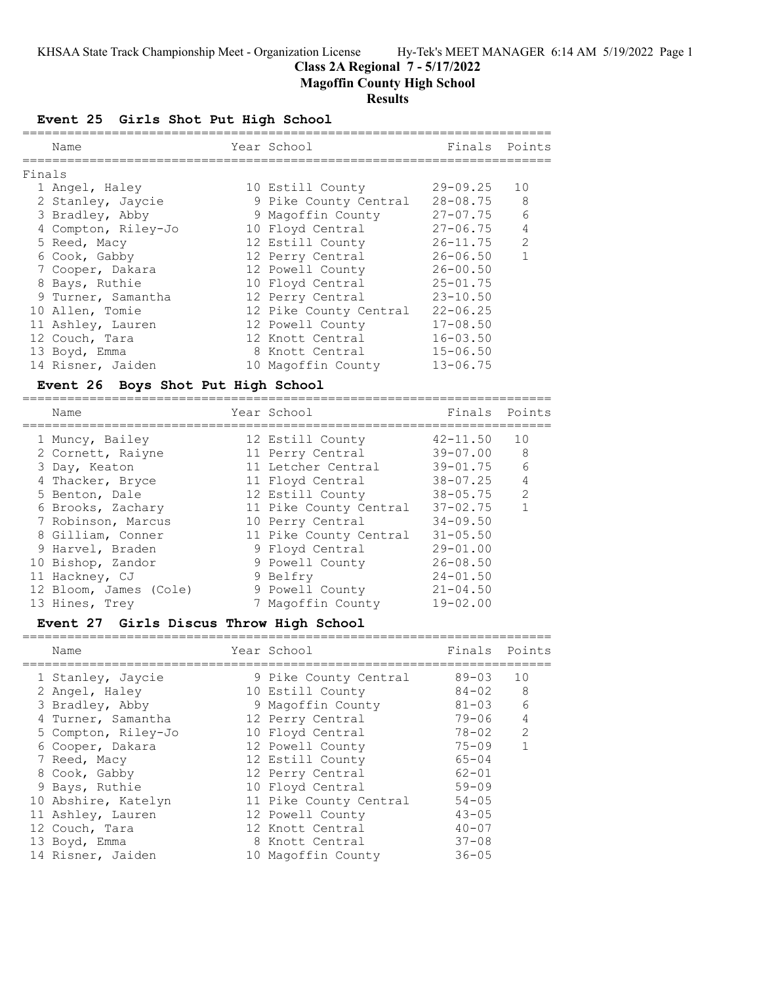# **Class 2A Regional 7 - 5/17/2022**

**Magoffin County High School**

## **Results**

**Event 25 Girls Shot Put High School**

| Name                                                                                                                                                                                                                                                                                                                       | Year School                                                                                                                                                                                                                                                                                       | ================                                                                                                                                                                                                             | Finals Points                            |
|----------------------------------------------------------------------------------------------------------------------------------------------------------------------------------------------------------------------------------------------------------------------------------------------------------------------------|---------------------------------------------------------------------------------------------------------------------------------------------------------------------------------------------------------------------------------------------------------------------------------------------------|------------------------------------------------------------------------------------------------------------------------------------------------------------------------------------------------------------------------------|------------------------------------------|
|                                                                                                                                                                                                                                                                                                                            |                                                                                                                                                                                                                                                                                                   |                                                                                                                                                                                                                              |                                          |
| Finals<br>1 Angel, Haley<br>2 Stanley, Jaycie<br>3 Bradley, Abby<br>4 Compton, Riley-Jo<br>5 Reed, Macy<br>6 Cook, Gabby<br>7 Cooper, Dakara<br>8 Bays, Ruthie<br>9 Turner, Samantha<br>10 Allen, Tomie<br>11 Ashley, Lauren<br>12 Couch, Tara<br>13 Boyd, Emma<br>14 Risner, Jaiden<br>Event 26 Boys Shot Put High School | 10 Estill County<br>9 Pike County Central<br>9 Magoffin County<br>10 Floyd Central<br>12 Estill County<br>12 Perry Central<br>12 Powell County<br>10 Floyd Central<br>12 Perry Central<br>12 Pike County Central<br>12 Powell County<br>12 Knott Central<br>8 Knott Central<br>10 Magoffin County | $29 - 09.25$<br>$28 - 08.75$<br>$27 - 07.75$<br>$27 - 06.75$<br>$26 - 11.75$<br>$26 - 06.50$<br>$26 - 00.50$<br>$25 - 01.75$<br>$23 - 10.50$<br>$22 - 06.25$<br>$17 - 08.50$<br>$16 - 03.50$<br>$15 - 06.50$<br>$13 - 06.75$ | 10<br>8<br>6<br>4<br>2<br>$\mathbf{1}$   |
| Name                                                                                                                                                                                                                                                                                                                       | Year School                                                                                                                                                                                                                                                                                       | Finals                                                                                                                                                                                                                       | Points                                   |
| 1 Muncy, Bailey<br>2 Cornett, Raiyne<br>3 Day, Keaton<br>4 Thacker, Bryce<br>5 Benton, Dale<br>6 Brooks, Zachary<br>7 Robinson, Marcus<br>8 Gilliam, Conner<br>9 Harvel, Braden<br>10 Bishop, Zandor<br>11 Hackney, CJ<br>12 Bloom, James (Cole)<br>13 Hines, Trey<br>Event 27 Girls Discus Throw High School              | 12 Estill County<br>11 Perry Central<br>11 Letcher Central<br>11 Floyd Central<br>12 Estill County<br>11 Pike County Central<br>10 Perry Central<br>11 Pike County Central<br>9 Floyd Central<br>9 Powell County<br>9 Belfry<br>9 Powell County<br>7 Magoffin County                              | $42 - 11.50$<br>$39 - 07.00$<br>$39 - 01.75$<br>$38 - 07.25$<br>$38 - 05.75$<br>$37 - 02.75$<br>$34 - 09.50$<br>$31 - 05.50$<br>$29 - 01.00$<br>$26 - 08.50$<br>$24 - 01.50$<br>$21 - 04.50$<br>$19 - 02.00$                 | 10<br>8<br>6<br>4<br>2<br>$\mathbf{1}$   |
| ;==================================<br>Name                                                                                                                                                                                                                                                                                | ============<br>Year School                                                                                                                                                                                                                                                                       | Finals                                                                                                                                                                                                                       | Points                                   |
| 1 Stanley, Jaycie<br>2 Angel, Haley<br>3 Bradley, Abby<br>4 Turner, Samantha<br>5 Compton, Riley-Jo<br>6 Cooper, Dakara<br>7 Reed, Macy<br>8 Cook, Gabby<br>9 Bays, Ruthie<br>10 Abshire, Katelyn<br>11 Ashley, Lauren<br>12 Couch, Tara<br>13 Boyd, Emma                                                                  | 9 Pike County Central<br>10 Estill County<br>9 Magoffin County<br>12 Perry Central<br>10 Floyd Central<br>12 Powell County<br>12 Estill County<br>12 Perry Central<br>10 Floyd Central<br>11 Pike County Central<br>12 Powell County<br>12 Knott Central<br>8 Knott Central                       | $89 - 03$<br>$84 - 02$<br>$81 - 03$<br>$79 - 06$<br>$78 - 02$<br>$75 - 09$<br>$65 - 04$<br>$62 - 01$<br>$59 - 09$<br>$54 - 05$<br>$43 - 05$<br>$40 - 07$<br>$37 - 08$                                                        | 10<br>8<br>6<br>$\overline{4}$<br>2<br>1 |

14 Risner, Jaiden 10 Magoffin County 36-05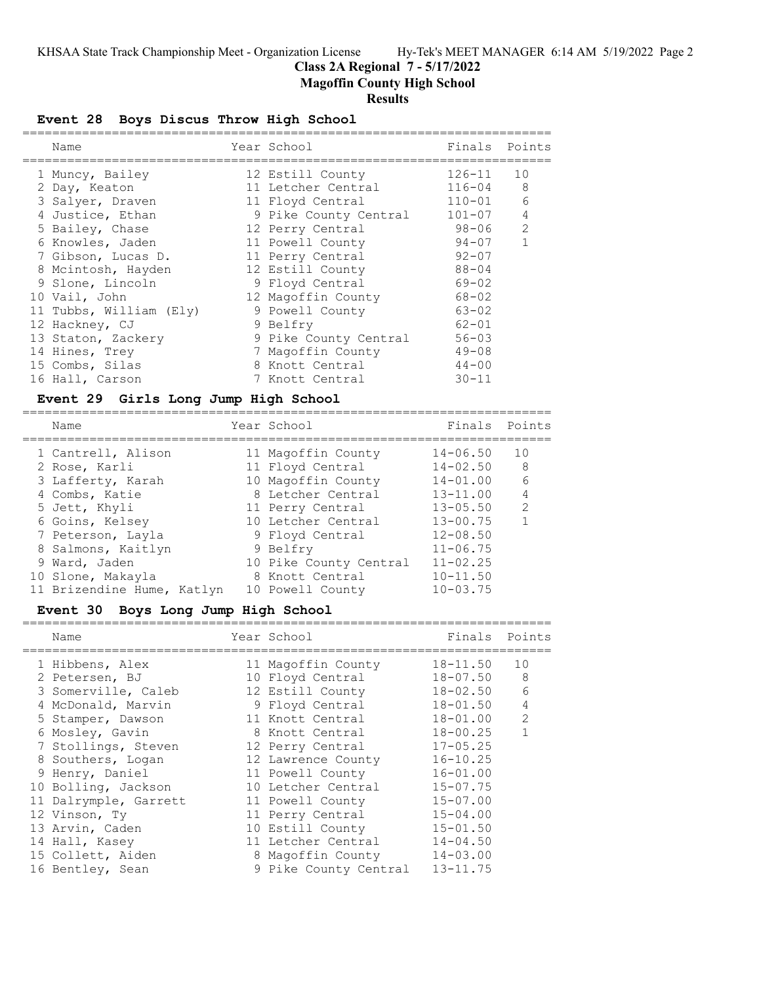## **Class 2A Regional 7 - 5/17/2022**

**Magoffin County High School**

### **Results**

## **Event 28 Boys Discus Throw High School**

|  | Name                    | Year School           | Finals Points |                |
|--|-------------------------|-----------------------|---------------|----------------|
|  | 1 Muncy, Bailey         | 12 Estill County      | $126 - 11$    | 10             |
|  | 2 Day, Keaton           | 11 Letcher Central    | $116 - 04$    | 8              |
|  | 3 Salyer, Draven        | 11 Floyd Central      | $110 - 01$    | 6              |
|  | 4 Justice, Ethan        | 9 Pike County Central | $101 - 07$    | $\overline{4}$ |
|  | 5 Bailey, Chase         | 12 Perry Central      | 98-06         | 2              |
|  | 6 Knowles, Jaden        | 11 Powell County      | $94 - 07$     |                |
|  | 7 Gibson, Lucas D.      | 11 Perry Central      | $92 - 07$     |                |
|  | 8 Mcintosh, Hayden      | 12 Estill County      | $88 - 04$     |                |
|  | 9 Slone, Lincoln        | 9 Floyd Central       | 69-02         |                |
|  | 10 Vail, John           | 12 Magoffin County    | 68-02         |                |
|  | 11 Tubbs, William (Ely) | 9 Powell County       | $63 - 02$     |                |
|  | 12 Hackney, CJ          | 9 Belfry              | $62 - 01$     |                |
|  | 13 Staton, Zackery      | 9 Pike County Central | $56 - 03$     |                |
|  | 14 Hines, Trey          | 7 Magoffin County     | $49 - 08$     |                |
|  | 15 Combs, Silas         | 8 Knott Central       | $44 - 00$     |                |
|  | 16 Hall, Carson         | 7 Knott Central       | $30 - 11$     |                |
|  |                         |                       |               |                |

### **Event 29 Girls Long Jump High School**

| Name                       |  | Year School            | Finals Points |                |
|----------------------------|--|------------------------|---------------|----------------|
| 1 Cantrell, Alison         |  | 11 Magoffin County     | $14 - 06.50$  | 1 O            |
| 2 Rose, Karli              |  | 11 Floyd Central       | $14 - 02.50$  | -8             |
| 3 Lafferty, Karah          |  | 10 Magoffin County     | $14 - 01.00$  | 6              |
| 4 Combs, Katie             |  | 8 Letcher Central      | $13 - 11.00$  | $\overline{4}$ |
| 5 Jett, Khyli              |  | 11 Perry Central       | $13 - 05.50$  | 2              |
| 6 Goins, Kelsey            |  | 10 Letcher Central     | $13 - 00.75$  |                |
| 7 Peterson, Layla          |  | 9 Floyd Central        | $12 - 08.50$  |                |
| 8 Salmons, Kaitlyn         |  | 9 Belfry               | $11 - 06.75$  |                |
| 9 Ward, Jaden              |  | 10 Pike County Central | $11 - 02.25$  |                |
| 10 Slone, Makayla          |  | 8 Knott Central        | $10 - 11.50$  |                |
| 11 Brizendine Hume, Katlyn |  | 10 Powell County       | $10 - 03.75$  |                |

## **Event 30 Boys Long Jump High School**

| Name                  | Year School           | Finals       | Points         |
|-----------------------|-----------------------|--------------|----------------|
| 1 Hibbens, Alex       | 11 Magoffin County    | $18 - 11.50$ | 10             |
| 2 Petersen, BJ        | 10 Floyd Central      | 18-07.50     | 8              |
| 3 Somerville, Caleb   | 12 Estill County      | $18 - 02.50$ | 6              |
| 4 McDonald, Marvin    | 9 Floyd Central       | $18 - 01.50$ | 4              |
| 5 Stamper, Dawson     | 11 Knott Central      | $18 - 01.00$ | $\overline{2}$ |
| 6 Mosley, Gavin       | 8 Knott Central       | $18 - 00.25$ |                |
| 7 Stollings, Steven   | 12 Perry Central      | $17 - 05.25$ |                |
| 8 Southers, Logan     | 12 Lawrence County    | $16 - 10.25$ |                |
| 9 Henry, Daniel       | 11 Powell County      | $16 - 01.00$ |                |
| 10 Bolling, Jackson   | 10 Letcher Central    | $15 - 07.75$ |                |
| 11 Dalrymple, Garrett | 11 Powell County      | $15 - 07.00$ |                |
| 12 Vinson, Ty         | 11 Perry Central      | $15 - 04.00$ |                |
| 13 Arvin, Caden       | 10 Estill County      | $15 - 01.50$ |                |
| 14 Hall, Kasey        | 11 Letcher Central    | $14 - 04.50$ |                |
| 15 Collett, Aiden     | 8 Magoffin County     | $14 - 03.00$ |                |
| 16 Bentley, Sean      | 9 Pike County Central | $13 - 11.75$ |                |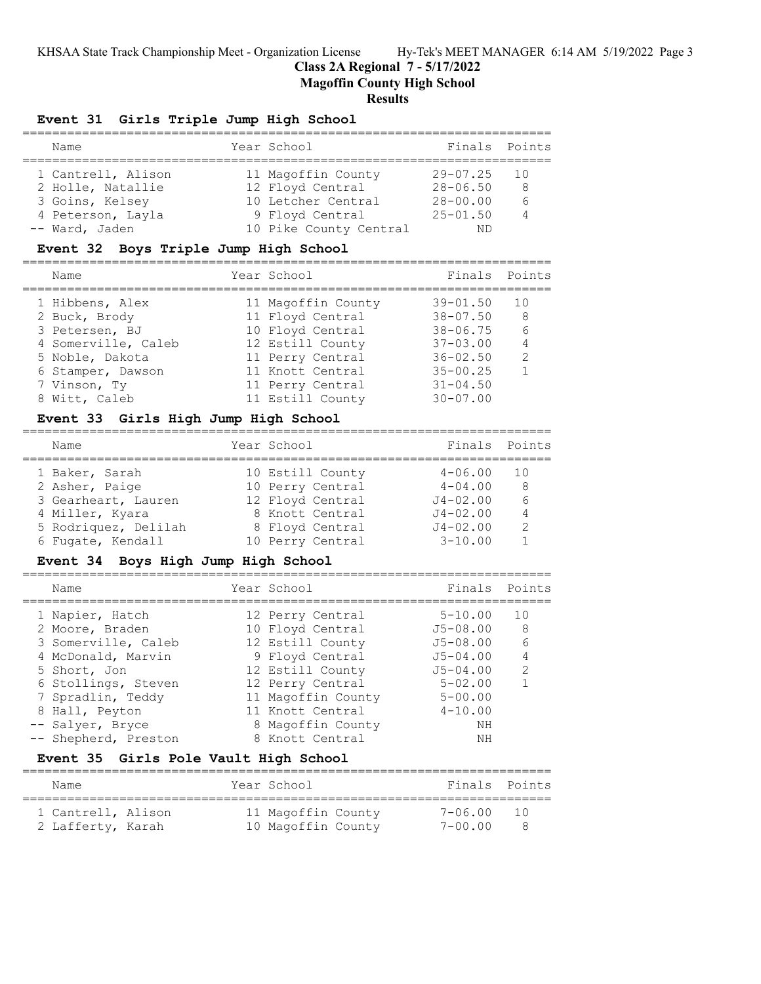#### **Class 2A Regional 7 - 5/17/2022**

**Magoffin County High School**

=======================================================================

#### **Results**

## **Event 31 Girls Triple Jump High School**

| Name               | Year School            | Finals Points   |    |
|--------------------|------------------------|-----------------|----|
| 1 Cantrell, Alison | 11 Magoffin County     | $29 - 07.25$ 10 |    |
| 2 Holle, Natallie  | 12 Floyd Central       | $28 - 06.50$    | -8 |
| 3 Goins, Kelsey    | 10 Letcher Central     | $28 - 00.00$    | 6  |
| 4 Peterson, Layla  | 9 Floyd Central        | $25 - 01.50$    |    |
| -- Ward, Jaden     | 10 Pike County Central | ΝD              |    |

#### **Event 32 Boys Triple Jump High School**

======================================================================= Name Year School Finals Points ======================================================================= 1 Hibbens, Alex 11 Magoffin County 39-01.50 10 2 Buck, Brody 11 Floyd Central 38-07.50 8 3 Petersen, BJ 10 Floyd Central 38-06.75 6 4 Somerville, Caleb 12 Estill County 37-03.00 4 5 Noble, Dakota 11 Perry Central 36-02.50 2 6 Stamper, Dawson 11 Knott Central 35-00.25 1 7 Vinson, Ty 11 Perry Central 31-04.50 8 Witt, Caleb 11 Estill County 30-07.00

## **Event 33 Girls High Jump High School**

| Finals Points<br>Year School<br>Name<br>10 Estill County<br>$4 - 06.00$<br>1 Baker, Sarah<br>1 N<br>$4 - 04.00$<br>2 Asher, Paige<br>10 Perry Central<br>8<br>12 Floyd Central<br>$J4 - 02.00$<br>3 Gearheart, Lauren<br>8 Knott Central<br>$J4 - 02.00$<br>4 Miller, Kyara<br>$\overline{4}$<br>5 Rodriquez, Delilah<br>$J4 - 02.00$<br>$\mathcal{P}$<br>8 Floyd Central<br>$3 - 10.00$<br>10 Perry Central<br>6 Fugate, Kendall |  |  |  |
|-----------------------------------------------------------------------------------------------------------------------------------------------------------------------------------------------------------------------------------------------------------------------------------------------------------------------------------------------------------------------------------------------------------------------------------|--|--|--|
|                                                                                                                                                                                                                                                                                                                                                                                                                                   |  |  |  |
|                                                                                                                                                                                                                                                                                                                                                                                                                                   |  |  |  |
|                                                                                                                                                                                                                                                                                                                                                                                                                                   |  |  |  |
|                                                                                                                                                                                                                                                                                                                                                                                                                                   |  |  |  |
|                                                                                                                                                                                                                                                                                                                                                                                                                                   |  |  |  |
|                                                                                                                                                                                                                                                                                                                                                                                                                                   |  |  |  |
|                                                                                                                                                                                                                                                                                                                                                                                                                                   |  |  |  |

### **Event 34 Boys High Jump High School**

| Name                 | Year School        | Finals Points |               |
|----------------------|--------------------|---------------|---------------|
| 1 Napier, Hatch      | 12 Perry Central   | $5 - 10.00$   | 10            |
| 2 Moore, Braden      | 10 Floyd Central   | $J5 - 08.00$  | 8             |
| 3 Somerville, Caleb  | 12 Estill County   | $J5 - 08.00$  | 6             |
| 4 McDonald, Marvin   | 9 Floyd Central    | $J5 - 04.00$  | 4             |
| 5 Short, Jon         | 12 Estill County   | $J5 - 04.00$  | $\mathcal{L}$ |
| 6 Stollings, Steven  | 12 Perry Central   | $5 - 02.00$   |               |
| 7 Spradlin, Teddy    | 11 Magoffin County | $5 - 00.00$   |               |
| 8 Hall, Peyton       | 11 Knott Central   | $4 - 10.00$   |               |
| -- Salyer, Bryce     | 8 Magoffin County  | NΗ            |               |
| -- Shepherd, Preston | 8 Knott Central    | NΗ            |               |

### **Event 35 Girls Pole Vault High School**

| Name                                    | Year School                              | Finals Points      |        |
|-----------------------------------------|------------------------------------------|--------------------|--------|
| 1 Cantrell, Alison<br>2 Lafferty, Karah | 11 Magoffin County<br>10 Magoffin County | 7-06.00<br>7-00 00 | $\Box$ |